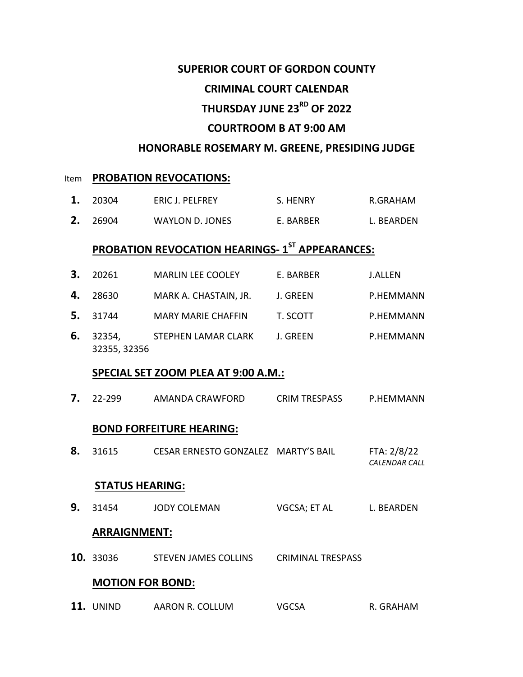## **SUPERIOR COURT OF GORDON COUNTY**

### **CRIMINAL COURT CALENDAR**

# **THURSDAY JUNE 23RD OF 2022**

## **COURTROOM B AT 9:00 AM**

## **HONORABLE ROSEMARY M. GREENE, PRESIDING JUDGE**

#### **Item PROBATION REVOCATIONS:**

- **1.** 20304 ERIC J. PELFREY S. HENRY R.GRAHAM
- **2.** 26904 WAYLON D. JONES E. BARBER L. BEARDEN

# **PROBATION REVOCATION HEARINGS- 1 ST APPEARANCES:**

| 3. | 20261                                      | <b>MARLIN LEE COOLEY</b>            | E. BARBER            | <b>J.ALLEN</b>                      |  |  |  |
|----|--------------------------------------------|-------------------------------------|----------------------|-------------------------------------|--|--|--|
| 4. | 28630                                      | MARK A. CHASTAIN, JR.               | J. GREEN             | P.HEMMANN                           |  |  |  |
| 5. | 31744                                      | <b>MARY MARIE CHAFFIN</b>           | T. SCOTT             | P.HEMMANN                           |  |  |  |
| 6. | 32354,<br>32355, 32356                     | STEPHEN LAMAR CLARK                 | J. GREEN             | P.HEMMANN                           |  |  |  |
|    | <b>SPECIAL SET ZOOM PLEA AT 9:00 A.M.:</b> |                                     |                      |                                     |  |  |  |
| 7. | 22-299                                     | AMANDA CRAWFORD                     | <b>CRIM TRESPASS</b> | P.HEMMANN                           |  |  |  |
|    | <b>BOND FORFEITURE HEARING:</b>            |                                     |                      |                                     |  |  |  |
| 8. | 31615                                      | CESAR ERNESTO GONZALEZ MARTY'S BAIL |                      | FTA: 2/8/22<br><b>CALENDAR CALL</b> |  |  |  |
|    | <b>STATUS HEARING:</b>                     |                                     |                      |                                     |  |  |  |
| 9. | 31454                                      | <b>JODY COLEMAN</b>                 | VGCSA; ET AL         | L. BEARDEN                          |  |  |  |
|    | <b>ADDAICNIMENT.</b>                       |                                     |                      |                                     |  |  |  |

#### **ARRAIGNMENT:**

**10.** 33036 STEVEN JAMES COLLINS CRIMINAL TRESPASS

### **MOTION FOR BOND:**

11. UNIND AARON R. COLLUM VGCSA R. GRAHAM